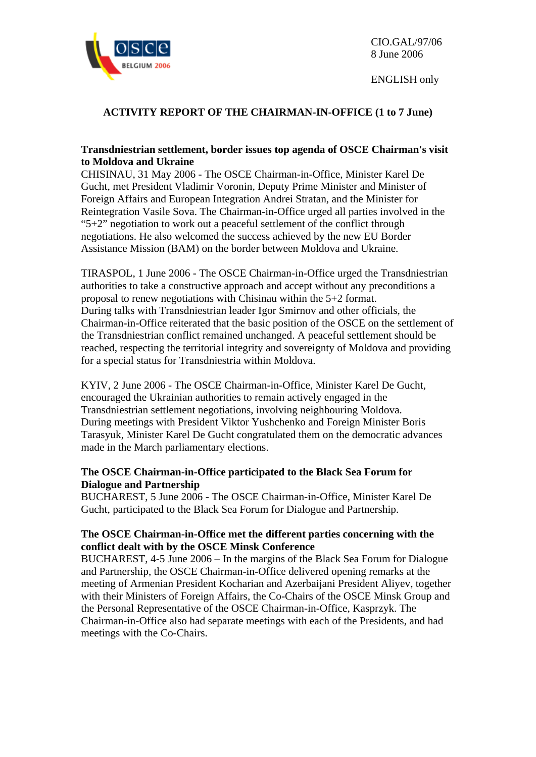

ENGLISH only

## **ACTIVITY REPORT OF THE CHAIRMAN-IN-OFFICE (1 to 7 June)**

### **Transdniestrian settlement, border issues top agenda of OSCE Chairman's visit to Moldova and Ukraine**

CHISINAU, 31 May 2006 - The OSCE Chairman-in-Office, Minister Karel De Gucht, met President Vladimir Voronin, Deputy Prime Minister and Minister of Foreign Affairs and European Integration Andrei Stratan, and the Minister for Reintegration Vasile Sova. The Chairman-in-Office urged all parties involved in the " $5+2$ " negotiation to work out a peaceful settlement of the conflict through negotiations. He also welcomed the success achieved by the new EU Border Assistance Mission (BAM) on the border between Moldova and Ukraine.

TIRASPOL, 1 June 2006 - The OSCE Chairman-in-Office urged the Transdniestrian authorities to take a constructive approach and accept without any preconditions a proposal to renew negotiations with Chisinau within the 5+2 format. During talks with Transdniestrian leader Igor Smirnov and other officials, the Chairman-in-Office reiterated that the basic position of the OSCE on the settlement of the Transdniestrian conflict remained unchanged. A peaceful settlement should be reached, respecting the territorial integrity and sovereignty of Moldova and providing for a special status for Transdniestria within Moldova.

KYIV, 2 June 2006 - The OSCE Chairman-in-Office, Minister Karel De Gucht, encouraged the Ukrainian authorities to remain actively engaged in the Transdniestrian settlement negotiations, involving neighbouring Moldova. During meetings with President Viktor Yushchenko and Foreign Minister Boris Tarasyuk, Minister Karel De Gucht congratulated them on the democratic advances made in the March parliamentary elections.

### **The OSCE Chairman-in-Office participated to the Black Sea Forum for Dialogue and Partnership**

BUCHAREST, 5 June 2006 - The OSCE Chairman-in-Office, Minister Karel De Gucht, participated to the Black Sea Forum for Dialogue and Partnership.

### **The OSCE Chairman-in-Office met the different parties concerning with the conflict dealt with by the OSCE Minsk Conference**

BUCHAREST, 4-5 June 2006 – In the margins of the Black Sea Forum for Dialogue and Partnership, the OSCE Chairman-in-Office delivered opening remarks at the meeting of Armenian President Kocharian and Azerbaijani President Aliyev, together with their Ministers of Foreign Affairs, the Co-Chairs of the OSCE Minsk Group and the Personal Representative of the OSCE Chairman-in-Office, Kasprzyk. The Chairman-in-Office also had separate meetings with each of the Presidents, and had meetings with the Co-Chairs.